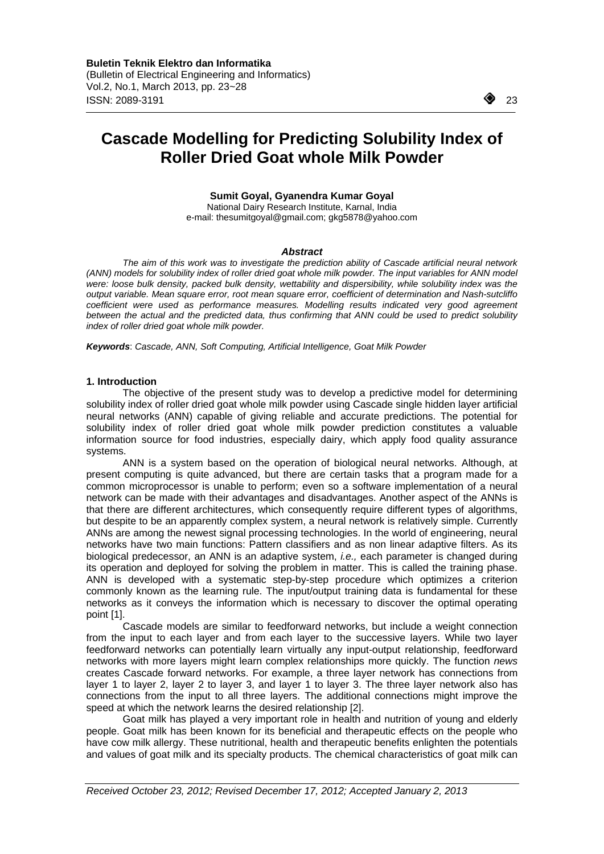$\overline{a}$ 

# **Cascade Modelling for Predicting Solubility Index of Roller Dried Goat whole Milk Powder**

## **Sumit Goyal, Gyanendra Kumar Goyal**

National Dairy Research Institute, Karnal, India e-mail: thesumitgoyal@gmail.com; gkg5878@yahoo.com

#### *Abstract*

*The aim of this work was to investigate the prediction ability of Cascade artificial neural network (ANN) models for solubility index of roller dried goat whole milk powder. The input variables for ANN model were: loose bulk density, packed bulk density, wettability and dispersibility, while solubility index was the output variable. Mean square error, root mean square error, coefficient of determination and Nash-sutcliffo coefficient were used as performance measures. Modelling results indicated very good agreement*  between the actual and the predicted data, thus confirming that ANN could be used to predict solubility *index of roller dried goat whole milk powder.* 

*Keywords*: *Cascade, ANN, Soft Computing, Artificial Intelligence, Goat Milk Powder*

## **1. Introduction**

The objective of the present study was to develop a predictive model for determining solubility index of roller dried goat whole milk powder using Cascade single hidden layer artificial neural networks (ANN) capable of giving reliable and accurate predictions. The potential for solubility index of roller dried goat whole milk powder prediction constitutes a valuable information source for food industries, especially dairy, which apply food quality assurance systems.

ANN is a system based on the operation of biological neural networks. Although, at present computing is quite advanced, but there are certain tasks that a program made for a common microprocessor is unable to perform; even so a software implementation of a neural network can be made with their advantages and disadvantages. Another aspect of the ANNs is that there are different architectures, which consequently require different types of algorithms, but despite to be an apparently complex system, a neural network is relatively simple. Currently ANNs are among the newest signal processing technologies. In the world of engineering, neural networks have two main functions: Pattern classifiers and as non linear adaptive filters. As its biological predecessor, an ANN is an adaptive system, *i.e.,* each parameter is changed during its operation and deployed for solving the problem in matter. This is called the training phase. ANN is developed with a systematic step-by-step procedure which optimizes a criterion commonly known as the learning rule. The input/output training data is fundamental for these networks as it conveys the information which is necessary to discover the optimal operating point [1].

Cascade models are similar to feedforward networks, but include a weight connection from the input to each layer and from each layer to the successive layers. While two layer feedforward networks can potentially learn virtually any input-output relationship, feedforward networks with more layers might learn complex relationships more quickly. The function *news*  creates Cascade forward networks. For example, a three layer network has connections from layer 1 to layer 2, layer 2 to layer 3, and layer 1 to layer 3. The three layer network also has connections from the input to all three layers. The additional connections might improve the speed at which the network learns the desired relationship [2].

Goat milk has played a very important role in health and nutrition of young and elderly people. Goat milk has been known for its beneficial and therapeutic effects on the people who have cow milk allergy. These nutritional, health and therapeutic benefits enlighten the potentials and values of goat milk and its specialty products. The chemical characteristics of goat milk can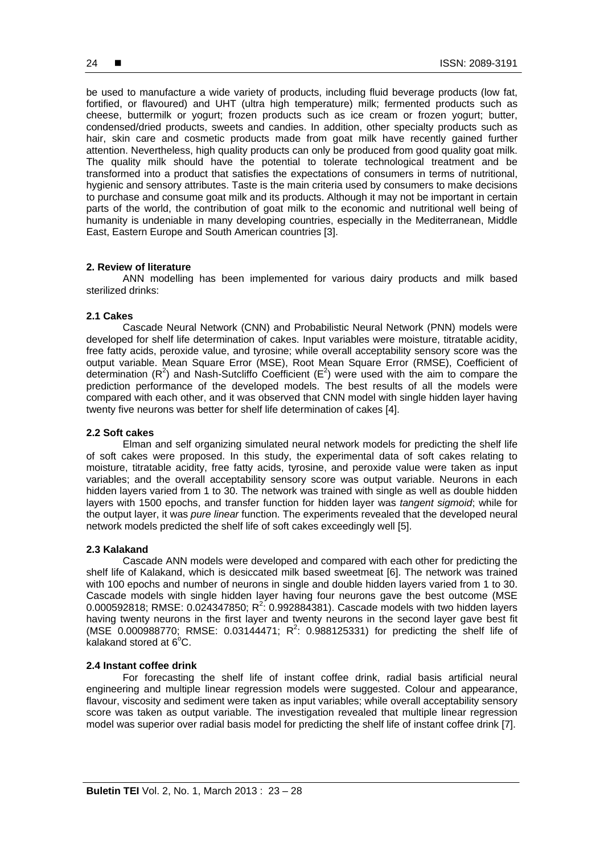be used to manufacture a wide variety of products, including fluid beverage products (low fat, fortified, or flavoured) and UHT (ultra high temperature) milk; fermented products such as cheese, buttermilk or yogurt; frozen products such as ice cream or frozen yogurt; butter, condensed/dried products, sweets and candies. In addition, other specialty products such as hair, skin care and cosmetic products made from goat milk have recently gained further attention. Nevertheless, high quality products can only be produced from good quality goat milk. The quality milk should have the potential to tolerate technological treatment and be transformed into a product that satisfies the expectations of consumers in terms of nutritional, hygienic and sensory attributes. Taste is the main criteria used by consumers to make decisions to purchase and consume goat milk and its products. Although it may not be important in certain parts of the world, the contribution of goat milk to the economic and nutritional well being of humanity is undeniable in many developing countries, especially in the Mediterranean, Middle East, Eastern Europe and South American countries [3].

## **2. Review of literature**

ANN modelling has been implemented for various dairy products and milk based sterilized drinks:

#### **2.1 Cakes**

Cascade Neural Network (CNN) and Probabilistic Neural Network (PNN) models were developed for shelf life determination of cakes. Input variables were moisture, titratable acidity, free fatty acids, peroxide value, and tyrosine; while overall acceptability sensory score was the output variable. Mean Square Error (MSE), Root Mean Square Error (RMSE), Coefficient of determination ( $R^2$ ) and Nash-Sutcliffo Coefficient ( $E^2$ ) were used with the aim to compare the prediction performance of the developed models. The best results of all the models were compared with each other, and it was observed that CNN model with single hidden layer having twenty five neurons was better for shelf life determination of cakes [4].

#### **2.2 Soft cakes**

Elman and self organizing simulated neural network models for predicting the shelf life of soft cakes were proposed. In this study, the experimental data of soft cakes relating to moisture, titratable acidity, free fatty acids, tyrosine, and peroxide value were taken as input variables; and the overall acceptability sensory score was output variable. Neurons in each hidden layers varied from 1 to 30. The network was trained with single as well as double hidden layers with 1500 epochs, and transfer function for hidden layer was *tangent sigmoid*; while for the output layer, it was *pure linear* function. The experiments revealed that the developed neural network models predicted the shelf life of soft cakes exceedingly well [5].

#### **2.3 Kalakand**

Cascade ANN models were developed and compared with each other for predicting the shelf life of Kalakand, which is desiccated milk based sweetmeat [6]. The network was trained with 100 epochs and number of neurons in single and double hidden layers varied from 1 to 30. Cascade models with single hidden layer having four neurons gave the best outcome (MSE 0.000592818; RMSE:  $0.024347850$ ; R<sup>2</sup>: 0.992884381). Cascade models with two hidden layers having twenty neurons in the first layer and twenty neurons in the second layer gave best fit (MSE  $0.000988770$ ; RMSE:  $0.03144471$ ; R<sup>2</sup>: 0.988125331) for predicting the shelf life of  $\overline{k}$ alakand stored at 6 $\overline{C}$ .

#### **2.4 Instant coffee drink**

For forecasting the shelf life of instant coffee drink, radial basis artificial neural engineering and multiple linear regression models were suggested. Colour and appearance, flavour, viscosity and sediment were taken as input variables; while overall acceptability sensory score was taken as output variable. The investigation revealed that multiple linear regression model was superior over radial basis model for predicting the shelf life of instant coffee drink [7].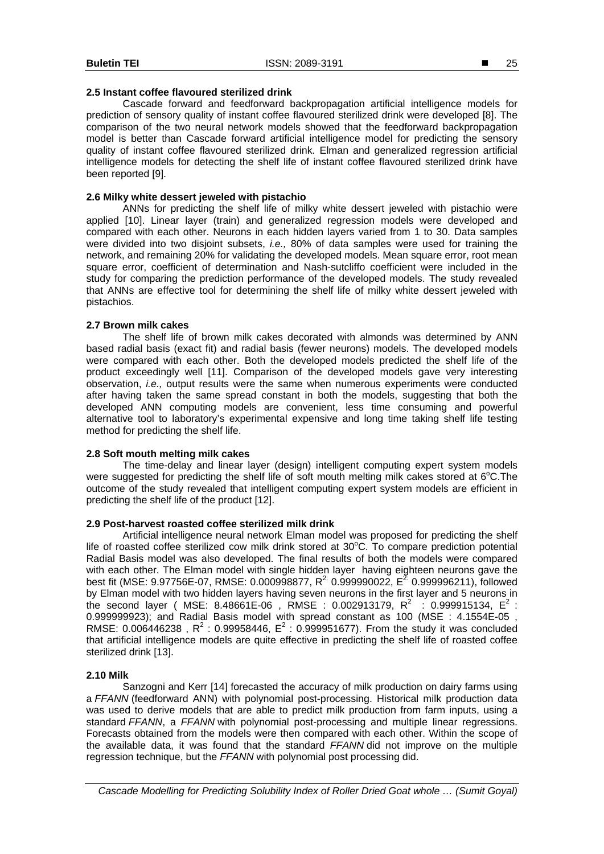## **2.5 Instant coffee flavoured sterilized drink**

Cascade forward and feedforward backpropagation artificial intelligence models for prediction of sensory quality of instant coffee flavoured sterilized drink were developed [8]. The comparison of the two neural network models showed that the feedforward backpropagation model is better than Cascade forward artificial intelligence model for predicting the sensory quality of instant coffee flavoured sterilized drink. Elman and generalized regression artificial intelligence models for detecting the shelf life of instant coffee flavoured sterilized drink have been reported [9].

## **2.6 Milky white dessert jeweled with pistachio**

ANNs for predicting the shelf life of milky white dessert jeweled with pistachio were applied [10]. Linear layer (train) and generalized regression models were developed and compared with each other. Neurons in each hidden layers varied from 1 to 30. Data samples were divided into two disjoint subsets, *i.e.,* 80% of data samples were used for training the network, and remaining 20% for validating the developed models. Mean square error, root mean square error, coefficient of determination and Nash-sutcliffo coefficient were included in the study for comparing the prediction performance of the developed models. The study revealed that ANNs are effective tool for determining the shelf life of milky white dessert jeweled with pistachios.

## **2.7 Brown milk cakes**

The shelf life of brown milk cakes decorated with almonds was determined by ANN based radial basis (exact fit) and radial basis (fewer neurons) models. The developed models were compared with each other. Both the developed models predicted the shelf life of the product exceedingly well [11]. Comparison of the developed models gave very interesting observation, *i.e.,* output results were the same when numerous experiments were conducted after having taken the same spread constant in both the models, suggesting that both the developed ANN computing models are convenient, less time consuming and powerful alternative tool to laboratory's experimental expensive and long time taking shelf life testing method for predicting the shelf life.

## **2.8 Soft mouth melting milk cakes**

The time-delay and linear layer (design) intelligent computing expert system models were suggested for predicting the shelf life of soft mouth melting milk cakes stored at  $6^{\circ}$ C. The outcome of the study revealed that intelligent computing expert system models are efficient in predicting the shelf life of the product [12].

## **2.9 Post-harvest roasted coffee sterilized milk drink**

Artificial intelligence neural network Elman model was proposed for predicting the shelf life of roasted coffee sterilized cow milk drink stored at 30°C. To compare prediction potential Radial Basis model was also developed. The final results of both the models were compared with each other. The Elman model with single hidden layer having eighteen neurons gave the best fit (MSE: 9.97756E-07, RMSE: 0.000998877, R<sup>2:</sup> 0.999990022, E<sup>2:</sup> 0.999996211), followed by Elman model with two hidden layers having seven neurons in the first layer and 5 neurons in the second layer ( MSE: 8.48661E-06 , RMSE : 0.002913179,  $R^2$  : 0.999915134,  $E^2$  : 0.999999923); and Radial Basis model with spread constant as 100 (MSE : 4.1554E-05 , RMSE: 0.006446238, R<sup>2</sup>: 0.99958446, E<sup>2</sup>: 0.999951677). From the study it was concluded that artificial intelligence models are quite effective in predicting the shelf life of roasted coffee sterilized drink [13].

## **2.10 Milk**

Sanzogni and Kerr [14] forecasted the accuracy of milk production on dairy farms using a *FFANN* (feedforward ANN) with polynomial post-processing. Historical milk production data was used to derive models that are able to predict milk production from farm inputs, using a standard *FFANN*, a *FFANN* with polynomial post-processing and multiple linear regressions. Forecasts obtained from the models were then compared with each other. Within the scope of the available data, it was found that the standard *FFANN* did not improve on the multiple regression technique, but the *FFANN* with polynomial post processing did.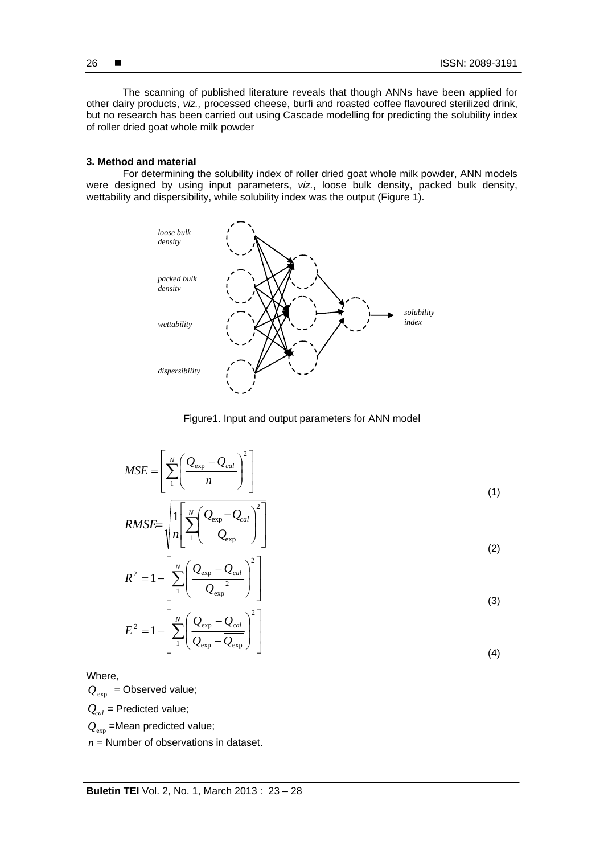The scanning of published literature reveals that though ANNs have been applied for other dairy products, *viz.,* processed cheese, burfi and roasted coffee flavoured sterilized drink, but no research has been carried out using Cascade modelling for predicting the solubility index of roller dried goat whole milk powder

#### **3. Method and material**

For determining the solubility index of roller dried goat whole milk powder, ANN models were designed by using input parameters, *viz.*, loose bulk density, packed bulk density, wettability and dispersibility, while solubility index was the output (Figure 1).





$$
MSE = \left[ \sum_{1}^{N} \left( \frac{Q_{\exp} - Q_{cal}}{n} \right)^2 \right]
$$
  

$$
MSE = \left[ \frac{\left( \sum_{\exp} \left( Q_{\exp} - Q_{cal} \right)^2 \right)}{\left( \sum_{\exp} \left( Q_{\exp} - Q_{cal} \right)^2 \right)} \right]
$$
 (1)

$$
RMSE = \sqrt{\frac{1}{n} \left[ \sum_{1}^{N} \left( \frac{Q_{\exp} - Q_{cal}}{Q_{\exp}} \right)^2 \right]}
$$
\n
$$
\sqrt{\frac{N}{n} \left( Q_{\exp} - Q_{cal} \right)^2}
$$
\n(2)

$$
R^{2} = 1 - \left[ \sum_{1}^{N} \left( \frac{Q_{\exp} - Q_{cal}}{Q_{\exp}} \right)^{2} \right]
$$
\n
$$
\left[ N \left( Q - Q \right)^{2} \right]
$$
\n(3)

$$
E^{2} = 1 - \left[ \sum_{1}^{N} \left( \frac{Q_{\exp} - Q_{cal}}{Q_{\exp} - Q_{\exp}} \right)^{2} \right]
$$
\n(4)

Where,

 $Q_{\text{exp}}$  = Observed value;

 $Q_{cal}$  = Predicted value;

 $\overline{Q}_{\text{exp}}$  =Mean predicted value;

 $n =$  Number of observations in dataset.

26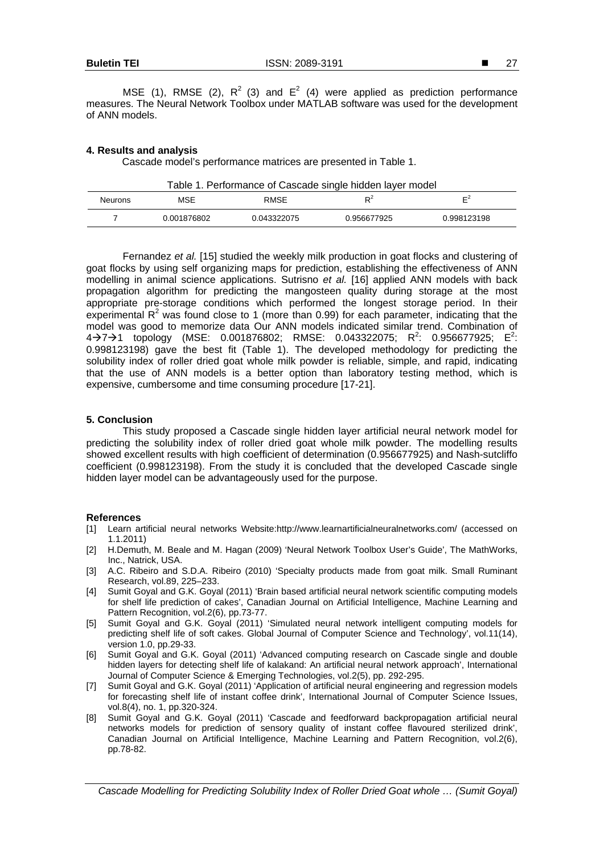MSE (1), RMSE (2),  $R^2$  (3) and  $E^2$  (4) were applied as prediction performance measures. The Neural Network Toolbox under MATLAB software was used for the development of ANN models.

## **4. Results and analysis**

Cascade model's performance matrices are presented in Table 1.

| Table 1. Performance of Cascade single hidden layer model |             |             |             |                |
|-----------------------------------------------------------|-------------|-------------|-------------|----------------|
| <b>Neurons</b>                                            | MSE         | <b>RMSF</b> | D∸          | Ε <sup>Ζ</sup> |
|                                                           | 0.001876802 | 0.043322075 | 0.956677925 | 0.998123198    |

Fernandez *et al.* [15] studied the weekly milk production in goat flocks and clustering of goat flocks by using self organizing maps for prediction, establishing the effectiveness of ANN modelling in animal science applications. Sutrisno *et al.* [16] applied ANN models with back propagation algorithm for predicting the mangosteen quality during storage at the most appropriate pre-storage conditions which performed the longest storage period. In their experimental  $R^2$  was found close to 1 (more than 0.99) for each parameter, indicating that the model was good to memorize data Our ANN models indicated similar trend. Combination of  $4\rightarrow$ 7 $\rightarrow$ 1 topology (MSE: 0.001876802; RMSE: 0.043322075; R<sup>2</sup>: 0.956677925; E<sup>2</sup>: 0.998123198) gave the best fit (Table 1). The developed methodology for predicting the solubility index of roller dried goat whole milk powder is reliable, simple, and rapid, indicating that the use of ANN models is a better option than laboratory testing method, which is expensive, cumbersome and time consuming procedure [17-21].

## **5. Conclusion**

This study proposed a Cascade single hidden layer artificial neural network model for predicting the solubility index of roller dried goat whole milk powder. The modelling results showed excellent results with high coefficient of determination (0.956677925) and Nash-sutcliffo coefficient (0.998123198). From the study it is concluded that the developed Cascade single hidden layer model can be advantageously used for the purpose.

#### **References**

- [1] Learn artificial neural networks Website:http://www.learnartificialneuralnetworks.com/ (accessed on 1.1.2011)
- [2] H.Demuth, M. Beale and M. Hagan (2009) 'Neural Network Toolbox User's Guide', The MathWorks, Inc., Natrick, USA.
- [3] A.C. Ribeiro and S.D.A. Ribeiro (2010) 'Specialty products made from goat milk. Small Ruminant Research, vol.89, 225–233.
- [4] Sumit Goyal and G.K. Goyal (2011) 'Brain based artificial neural network scientific computing models for shelf life prediction of cakes', Canadian Journal on Artificial Intelligence, Machine Learning and Pattern Recognition, vol.2(6), pp.73-77.
- [5] Sumit Goyal and G.K. Goyal (2011) 'Simulated neural network intelligent computing models for predicting shelf life of soft cakes. Global Journal of Computer Science and Technology', vol.11(14), version 1.0, pp.29-33.
- [6] Sumit Goyal and G.K. Goyal (2011) 'Advanced computing research on Cascade single and double hidden layers for detecting shelf life of kalakand: An artificial neural network approach', International Journal of Computer Science & Emerging Technologies, vol.2(5), pp. 292-295.
- [7] Sumit Goyal and G.K. Goyal (2011) 'Application of artificial neural engineering and regression models for forecasting shelf life of instant coffee drink', International Journal of Computer Science Issues, vol.8(4), no. 1, pp.320-324.
- [8] Sumit Goyal and G.K. Goyal (2011) 'Cascade and feedforward backpropagation artificial neural networks models for prediction of sensory quality of instant coffee flavoured sterilized drink', Canadian Journal on Artificial Intelligence, Machine Learning and Pattern Recognition, vol.2(6), pp.78-82.